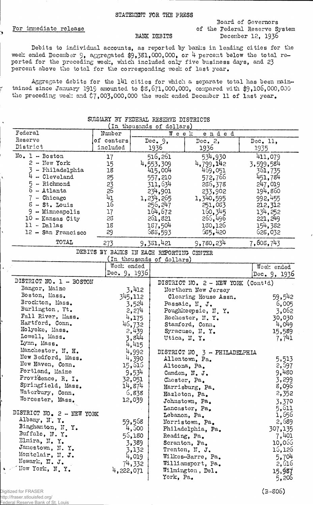.<br>'

ř

Board of Governors For immediate release **For immediate** release of the Federal Reserve System BANK DEBITS December 12, 1936

Debits to individual accounts, as reported by banks in leading cities for the week ended December 9, aggregated \$9,381,000,000, or 4 percent below the total reported for the preceding week, which included only five business days, and 23 percent above the total for the corresponding week of last year.

Aggregate debits for the 141 cities for which a separate total has been maintained since January 1919 amounted to \$3,671,000,000, compared with \$9,106,000,000 the preceding week and  $\ddot{\zeta}$ ,003,000,000 the week ended December 11 of last year.

| In thousands of dollars)    |                                          |                 |                           |                                                |              |
|-----------------------------|------------------------------------------|-----------------|---------------------------|------------------------------------------------|--------------|
| Federal                     | Number                                   |                 | Week                      | ended                                          |              |
| Reserve                     | of centers                               | Dec. $9$ ,      |                           | Dec. $2,$                                      | Dec. 11,     |
| District                    | included                                 |                 | 1936                      | 1936                                           | 1935         |
| $No. 1 - Boston$            | 17                                       |                 | 516,261                   | 534,930                                        | 411,079      |
| $2 - New York$              | 15                                       |                 | 4,553,309                 | 4,799,142                                      | 3,599,584    |
| - Philadelphia              | 18                                       |                 | 415,004                   | 469,051                                        | 361,735      |
| $\sim$ Cleveland            | 25                                       |                 | 557,210                   | 572,766                                        | 451,784      |
| $-$ Richmond<br>5           | $2\frac{3}{2}$                           |                 | 311,634                   | 286,378                                        | 247,019      |
| $\overline{6}$<br>- Atlanta | 26                                       |                 | 234,901                   | 233,902                                        | 194,860      |
| 7 - Chicago                 | 41                                       |                 | 1, 234, 265               | 1,340,595                                      | 992,455      |
| $S-St$ . Louis              | 16                                       |                 | 256, 247                  | 251,083                                        | 212,312      |
| 9 - Minneapolis             | 17                                       |                 | 164,672                   | 160, 345                                       | 134,252      |
| $10$ - Kansas City          | 28                                       |                 | 261,821                   | 265,496                                        | 221, 249     |
| $11 - Dallas$               | 18                                       |                 | 187,504                   | 130,126                                        | 154,382      |
| 12 - San Francisco          | 29                                       |                 | 588,593                   | 585,420                                        | 628,032      |
| TOTAL                       |                                          |                 |                           | 9,780,234                                      |              |
|                             | 273                                      |                 | 9,381,421                 |                                                | 7,608,743    |
|                             | DEBITS BY BANKS IN EACH REPORTING CENTER |                 | (In thousands of dollars) |                                                |              |
|                             | Week ended                               |                 |                           |                                                | Week ended   |
|                             | Dec. $9, 1936$                           |                 |                           |                                                | Dec. 9, 1936 |
| DISTRICT NO. 1 - BOSTON     |                                          |                 |                           | DISTRICT NO. $2 - \text{NEW}$ YORK (Contid)    |              |
| Bangor, Maine               |                                          | 3,412           |                           | Northern New Jersey                            |              |
| Boston, Mass.               |                                          | 345,112         |                           | Clearing House Assn.                           | 59,542       |
| Brockton, Mass.             |                                          | 3,524           |                           | Passaic, N. J.                                 | 6,005        |
| Burlington, Vt.             |                                          | 2,274           |                           | Poughkeepsie, N.Y.                             | 3,062        |
| Fall River, Mass.           |                                          | 4,175           |                           | Rochester, N.Y.                                | 30,030       |
| Hartford, Conn.             |                                          |                 |                           | Stamford, Conn.                                | 4,049        |
| Holyoke, Mass.              |                                          | 46,732<br>2,439 |                           | Syracuse, N.Y.                                 | 15,589       |
| Lowell, Mass.               | 3,844                                    |                 | Utica, N.Y.               |                                                | 7,741        |
| Lynn, Mass.                 |                                          | 4,415           |                           |                                                |              |
| Manchester, N. H.           |                                          | 4,992           |                           |                                                |              |
| New Bedford, Mass.          |                                          | 4,390           |                           | DISTRICT NO 3 - PHILADELPHIA<br>Allentown, Pa. | 5,513        |
| New Haven, Conn.            |                                          | 15,616          | Altoona, Pa.              |                                                | 2,597        |
| Portland, Maine             |                                          | 9,534           |                           | Camden, N. J.                                  | 9,480        |
| Providence, R. I.           |                                          | 32,051          |                           | Chester, Pa.                                   | 3,299        |
| Springfield, Mass.          | 14,874                                   |                 |                           | Harrisburg, Pa.                                | 8,096        |
| Waterbury, Conn.            |                                          | 6,838           |                           | Hazleton, Pa.                                  | 2,352        |
| Worcester, Mass.            |                                          | 12,039          |                           | Johnstown, Pa.                                 | 3,370        |
|                             |                                          |                 |                           | Lancaster, Pa.                                 | 5,611        |
| DISTRICT NO. 2 - NEW YORK   |                                          |                 |                           | Lebanon, Pa.                                   | 1,656        |
| Albany, N.Y.                |                                          | 59,568          |                           | Norristown, Pa.                                | 2,689        |
| Binghamton, N.Y.            |                                          | 4,500           |                           | Philadelphia, Pa.                              | 307,135      |
| Buffalo, N.Y.               |                                          | 56,180          |                           | Reading, Pa.                                   | 7,401        |
| Elmira, N.Y.                |                                          | 3,389           |                           | Scranton, Pa.                                  | 10,066       |
| Jamestown, N.Y.             |                                          | 3,132           |                           | Trenton, N. J.                                 | 16,126       |
| Montclair, N. J.            |                                          | 4,019           |                           | Wilkes-Barre, Pa.                              | 5,704        |
| Newark, N. J.               |                                          | 74,332          |                           | Williamsport, Pa.                              | 2,616        |
| Hew York, N.Y.              | 4,222,071                                |                 |                           | Wilmington, Del.                               | 15,987       |
|                             |                                          |                 | York, Pa.                 |                                                | 5,206        |
|                             |                                          |                 |                           |                                                |              |

## SUMMARY BY FEDERAL RESERVE DISTRICTS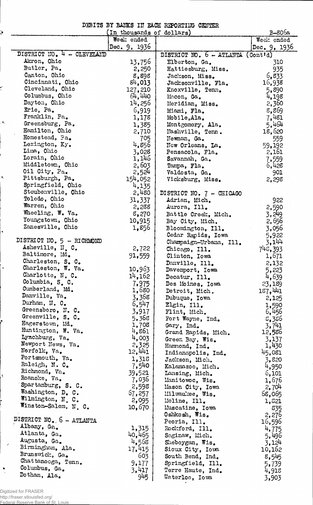| DEBITS BY BANKS IN EACH REPORTING CENTER |  |
|------------------------------------------|--|
|------------------------------------------|--|

| $\ddot{\textbf{v}}$ | numero ne penyo in peny uttonimo orniter | B-806a         |                                              |                 |
|---------------------|------------------------------------------|----------------|----------------------------------------------|-----------------|
|                     | (In thousands of dollars)<br>Week ended  |                |                                              | Week ended      |
|                     |                                          | Dec. 9, 1936   |                                              | Dec. 9, 1936    |
|                     | DISTRICT NO. 4 - CLEVELAND               |                | DISTRICT NO. $6 - ATLAYTA$ (Cont'd)          |                 |
|                     | Akron, Ohio                              | 13,756         | Elberton, Ga.                                | 310             |
|                     | Butler, Pa.                              | 2,250          | Hattiesburg, Miss.                           | 935             |
|                     | Canton, Ohio                             | 8,898          | Jackson, Miss.                               | 6,833           |
|                     | Cincinnati, Ohio                         | 84,013         | Jacksonville, Fla.                           | 16,938          |
|                     | Cleveland, Ohio                          | 127,210        | Knoxville, Tenn.                             | 5,890           |
|                     | Columbus, Ohio                           | 64,440         | Macon, Ga.                                   | 4,198           |
|                     | Dayton, Ohio                             | 14,256         | Meridian, Miss.                              | 2,360           |
|                     | Erie, Pa.<br>Franklin, Pa.               | 6,919          | Miami, Fla.                                  | 8,869           |
|                     | Greensburg, Pa.                          | 1,178          | Mobile, Ala.                                 | 7,481           |
|                     | Hamilton, Ohio                           | 1,385<br>2,710 | Montgomery, Ala.<br>Nashville, Tenn.         | 5,464<br>18,620 |
|                     | Homestead, Pa.                           | 705            | Newnan, Ga.                                  | 559             |
|                     | Lexington, Ky.                           | 4,856          | New Orleans, La.                             | 59,192          |
|                     | Lima, Ohio                               | 3,028          | Pensacola, Fla.                              | 2,161           |
|                     | Lorain, Ohio                             | 1,146          | Savannah, Ga.                                | 7,559           |
|                     | Middletown, Ohio                         | 2,603          | Tampa, Fla.                                  | 6,428           |
|                     | Oil City, Pa.                            | 2,524          | Valdosta, Ga.                                | 901             |
| Κ.                  | Pittsburgh, Pa.                          | 154,052        | Vicksburg, Miss.                             | 2,298           |
|                     | Springfield, Ohio                        | 4,135          |                                              |                 |
|                     | Steubenville, Ohio                       | 2,480          | DISTRICT NO. 7 - CHICAGO                     |                 |
|                     | Toledo, Ohio                             | 31,337         | Adrian, Mich.                                | 922             |
|                     | Warren, Ohio                             | 2,238          | Aurora, Ill.                                 | 2,590           |
|                     | Wheeling, W. Va.<br>Youngstown, Ohio     | 8,270          | Battle Creek, Mich.                          | 3,249           |
|                     | Zanesville, Ohio                         | 10,915         | Bay City, Mich.                              | 2,656           |
|                     |                                          | 1,856          | Bloomington, Ill.                            | 3,056           |
|                     | DISTRICT NO. 5 - RICHMOND                |                | Cedar Rapids, Iowa<br>Champaign-Urbana, Ill. | 5,922<br>3,144  |
|                     | Asheville, N. C.                         | 2,722          | Chicago, Ill.                                | 748,393         |
|                     | Baltimore, Md.                           | 91,559         | Clinton, Iowa                                | 1,671           |
|                     | Charleston, S. C.                        |                | Danville, Ill.                               | 2,132           |
|                     | Charleston, W. Va.                       | 10,963         | Davenport, Iowa                              | 5,223           |
|                     | Charlotte, N.C.                          | 14,162         | Decatur, Ill.                                | 4,639           |
|                     | Columbia, S. C.                          | 7,975          | Des Moines, Iowa                             | 23,189          |
|                     | Cumberland, Md.                          | 1,680          | Detroit, Mich.                               | 187, 441        |
|                     | Danville, Va.                            | 3,368          | Dubuque, Iowa                                | 2,125           |
|                     | Durham, II. C.                           | 6,547          | Elgin, Ill.                                  | 1,590           |
|                     | Greensboro, N. C.                        | 3,917          | Flint, Mich.                                 | 6,456           |
|                     | Greenville, S. C.<br>Hagerstown, Md.     | 5,368          | Fort Wayne, Ind.                             | 5,356           |
|                     | Huntington, W. Va.                       | 1,708          | Gary, Ind.                                   | 3,741           |
|                     | Lynchburg, Va.                           | 4,861<br>4,003 | Grand Rapids, Mich.                          | 12,586          |
|                     | Newport News, Va.                        | 2,325          | Green Bay, Wis.<br>Hammond, Ind.             | 3,137<br>1,430  |
|                     | Norfolk, Va.                             | 12,441         | Indianapolis, Ind.                           | 45,081          |
|                     | Portsmouth, Va.                          | 1,318          | Jackson, Mich.                               | 3,820           |
|                     | Raleigh, N. C.                           | 7,540          | Kalamazoo, Mich.                             | 4,950           |
| X                   | Richmond, Va.                            | 39,521         | Lansing, Mich.                               | 6,101           |
|                     | Roanoke, Va.                             | 7,036          | Manitowoc, Wis.                              | 1,676           |
|                     | Spartanburg, S. C.                       | 2,598          | Mason City, Iowa                             | 2,704           |
|                     | Washington, D. C.                        | 67,257         | Milwaukee, Wis.                              | 68,065          |
|                     | Wilmington, N. C.                        | 2,095          | Moline, Ill.                                 | 1,821           |
|                     | Winston-Salem, N. C.                     | 10,670         | Muscatine, Iowa                              | 835             |
|                     | DISTRICT NO. 6 - ATLANTA                 |                | Oshkosh, Wis.                                | 2,276           |
|                     | Albany, Ga.                              | 1,315          | Peoria, Ill.                                 | 16,596          |
|                     | Atlanta, Ga.                             | 40,465         | Rockford, Ill.<br>Saginaw, Mich.             | 4,775           |
|                     | Augusta, Ga.                             | 4,568          | Sheboygan, Wis.                              | 5,496<br>3,124  |
| $\mathcal{S}$       | Birmingham, Ala.                         | 17,415         | Sioux City, Iowa                             | 10,162          |
|                     | Brunswick, Ga.                           | 603            | South Bend, Ind.                             | 8,545           |
|                     | Chattanooga, Tenn.                       | 9,177          | Springfield, Ill.                            | 5,739           |
| ٠                   | Columbus, Ga.                            | 3,417          | Terre Haute, Ind.                            | 4,918           |
|                     | Dothan, Ala.                             | 945            | Waterloo, Iowa                               | 3,903           |

Digitized for FRASER http://fraser.stlouisfed.org/ Federal Reserve Bank of St. Louis